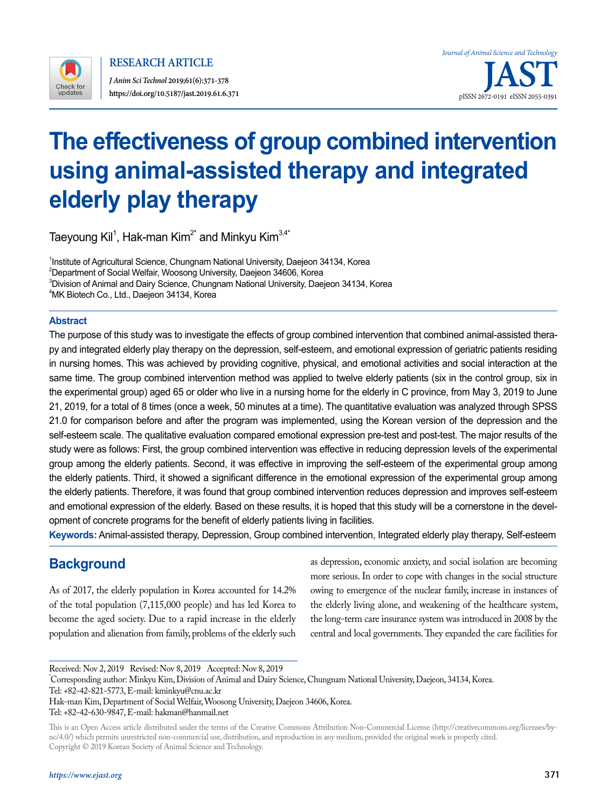

**RESEARCH ARTICLE**

*J Anim Sci Technol* **2019;61(6):371-378**

# **The effectiveness of group combined intervention using animal-assisted therapy and integrated elderly play therapy**

Taeyoung Kil<sup>1</sup>, Hak-man Kim $^{2^\star}$  and Minkyu Kim $^{3,4^\star}$ 

<sup>1</sup>Institute of Agricultural Science, Chungnam National University, Daejeon 34134, Korea  $^{2}$ Department of Social Welfair, Woosong University, Daejeon 34606, Korea  $^3$ Division of Animal and Dairy Science, Chungnam National University, Daejeon 34134, Korea 4 MK Biotech Co., Ltd., Daejeon 34134, Korea

### **Abstract**

The purpose of this study was to investigate the effects of group combined intervention that combined animal-assisted therapy and integrated elderly play therapy on the depression, self-esteem, and emotional expression of geriatric patients residing in nursing homes. This was achieved by providing cognitive, physical, and emotional activities and social interaction at the same time. The group combined intervention method was applied to twelve elderly patients (six in the control group, six in the experimental group) aged 65 or older who live in a nursing home for the elderly in C province, from May 3, 2019 to June 21, 2019, for a total of 8 times (once a week, 50 minutes at a time). The quantitative evaluation was analyzed through SPSS 21.0 for comparison before and after the program was implemented, using the Korean version of the depression and the self-esteem scale. The qualitative evaluation compared emotional expression pre-test and post-test. The major results of the study were as follows: First, the group combined intervention was effective in reducing depression levels of the experimental group among the elderly patients. Second, it was effective in improving the self-esteem of the experimental group among the elderly patients. Third, it showed a significant difference in the emotional expression of the experimental group among the elderly patients. Therefore, it was found that group combined intervention reduces depression and improves self-esteem and emotional expression of the elderly. Based on these results, it is hoped that this study will be a cornerstone in the development of concrete programs for the benefit of elderly patients living in facilities.

**Keywords:** Animal-assisted therapy, Depression, Group combined intervention, Integrated elderly play therapy, Self-esteem

# **Background**

As of 2017, the elderly population in Korea accounted for 14.2% of the total population (7,115,000 people) and has led Korea to become the aged society. Due to a rapid increase in the elderly population and alienation from family, problems of the elderly such

as depression, economic anxiety, and social isolation are becoming more serious. In order to cope with changes in the social structure owing to emergence of the nuclear family, increase in instances of the elderly living alone, and weakening of the healthcare system, the long-term care insurance system was introduced in 2008 by the central and local governments. They expanded the care facilities for

Received: Nov 2, 2019 Revised: Nov 8, 2019 Accepted: Nov 8, 2019

\* Corresponding author: Minkyu Kim, Division of Animal and Dairy Science, Chungnam National University, Daejeon, 34134, Korea.

Tel: +82-42-821-5773, E-mail: [kminkyu@cnu.ac.kr](mailto:kminkyu@cnu.ac.kr)

Hak-man Kim, Department of Social Welfair, Woosong University, Daejeon 34606, Korea. Tel: +82-42-630-9847, E-mail: [hakman@](mailto:hakman@)hanmail.net

This is an Open Access article distributed under the terms of the Creative Commons Attribution Non-Commercial License ([http://creativecommons.org/licenses/by](http://creativecommons.org/licenses/by-nc/4.0/)[nc/4.0/\)](http://creativecommons.org/licenses/by-nc/4.0/) which permits unrestricted non-commercial use, distribution, and reproduction in any medium, provided the original work is properly cited. Copyright © 2019 Korean Society of Animal Science and Technology.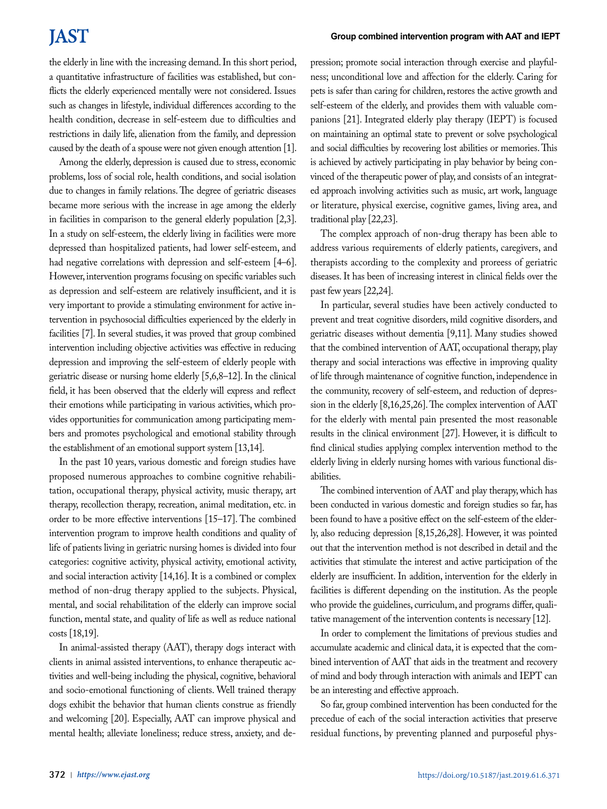# **JAST**

the elderly in line with the increasing demand. In this short period, a quantitative infrastructure of facilities was established, but conflicts the elderly experienced mentally were not considered. Issues such as changes in lifestyle, individual differences according to the health condition, decrease in self-esteem due to difficulties and restrictions in daily life, alienation from the family, and depression caused by the death of a spouse were not given enough attention [1].

Among the elderly, depression is caused due to stress, economic problems, loss of social role, health conditions, and social isolation due to changes in family relations. The degree of geriatric diseases became more serious with the increase in age among the elderly in facilities in comparison to the general elderly population [2,3]. In a study on self-esteem, the elderly living in facilities were more depressed than hospitalized patients, had lower self-esteem, and had negative correlations with depression and self-esteem [4–6]. However, intervention programs focusing on specific variables such as depression and self-esteem are relatively insufficient, and it is very important to provide a stimulating environment for active intervention in psychosocial difficulties experienced by the elderly in facilities [7]. In several studies, it was proved that group combined intervention including objective activities was effective in reducing depression and improving the self-esteem of elderly people with geriatric disease or nursing home elderly [5,6,8–12]. In the clinical field, it has been observed that the elderly will express and reflect their emotions while participating in various activities, which provides opportunities for communication among participating members and promotes psychological and emotional stability through the establishment of an emotional support system [13,14].

In the past 10 years, various domestic and foreign studies have proposed numerous approaches to combine cognitive rehabilitation, occupational therapy, physical activity, music therapy, art therapy, recollection therapy, recreation, animal meditation, etc. in order to be more effective interventions [15–17]. The combined intervention program to improve health conditions and quality of life of patients living in geriatric nursing homes is divided into four categories: cognitive activity, physical activity, emotional activity, and social interaction activity [14,16]. It is a combined or complex method of non-drug therapy applied to the subjects. Physical, mental, and social rehabilitation of the elderly can improve social function, mental state, and quality of life as well as reduce national costs [18,19].

In animal-assisted therapy (AAT), therapy dogs interact with clients in animal assisted interventions, to enhance therapeutic activities and well-being including the physical, cognitive, behavioral and socio-emotional functioning of clients. Well trained therapy dogs exhibit the behavior that human clients construe as friendly and welcoming [20]. Especially, AAT can improve physical and mental health; alleviate loneliness; reduce stress, anxiety, and depression; promote social interaction through exercise and playfulness; unconditional love and affection for the elderly. Caring for pets is safer than caring for children, restores the active growth and self-esteem of the elderly, and provides them with valuable companions [21]. Integrated elderly play therapy (IEPT) is focused on maintaining an optimal state to prevent or solve psychological and social difficulties by recovering lost abilities or memories. This is achieved by actively participating in play behavior by being convinced of the therapeutic power of play, and consists of an integrated approach involving activities such as music, art work, language or literature, physical exercise, cognitive games, living area, and traditional play [22,23].

The complex approach of non-drug therapy has been able to address various requirements of elderly patients, caregivers, and therapists according to the complexity and proreess of geriatric diseases. It has been of increasing interest in clinical fields over the past few years [22,24].

In particular, several studies have been actively conducted to prevent and treat cognitive disorders, mild cognitive disorders, and geriatric diseases without dementia [9,11]. Many studies showed that the combined intervention of AAT, occupational therapy, play therapy and social interactions was effective in improving quality of life through maintenance of cognitive function, independence in the community, recovery of self-esteem, and reduction of depression in the elderly [8,16,25,26]. The complex intervention of AAT for the elderly with mental pain presented the most reasonable results in the clinical environment [27]. However, it is difficult to find clinical studies applying complex intervention method to the elderly living in elderly nursing homes with various functional disabilities.

The combined intervention of AAT and play therapy, which has been conducted in various domestic and foreign studies so far, has been found to have a positive effect on the self-esteem of the elderly, also reducing depression [8,15,26,28]. However, it was pointed out that the intervention method is not described in detail and the activities that stimulate the interest and active participation of the elderly are insufficient. In addition, intervention for the elderly in facilities is different depending on the institution. As the people who provide the guidelines, curriculum, and programs differ, qualitative management of the intervention contents is necessary [12].

In order to complement the limitations of previous studies and accumulate academic and clinical data, it is expected that the combined intervention of AAT that aids in the treatment and recovery of mind and body through interaction with animals and IEPT can be an interesting and effective approach.

So far, group combined intervention has been conducted for the precedue of each of the social interaction activities that preserve residual functions, by preventing planned and purposeful phys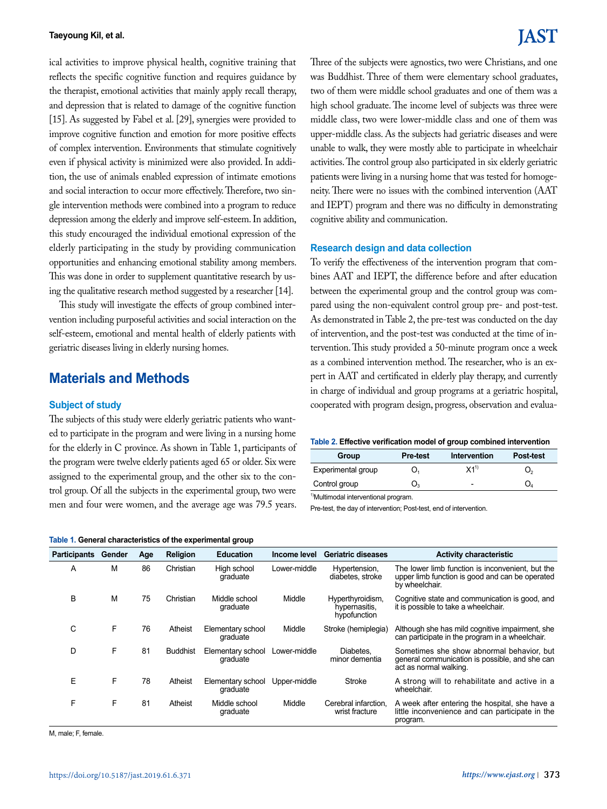ical activities to improve physical health, cognitive training that reflects the specific cognitive function and requires guidance by the therapist, emotional activities that mainly apply recall therapy, and depression that is related to damage of the cognitive function [15]. As suggested by Fabel et al. [29], synergies were provided to improve cognitive function and emotion for more positive effects of complex intervention. Environments that stimulate cognitively even if physical activity is minimized were also provided. In addition, the use of animals enabled expression of intimate emotions and social interaction to occur more effectively. Therefore, two single intervention methods were combined into a program to reduce depression among the elderly and improve self-esteem. In addition, this study encouraged the individual emotional expression of the elderly participating in the study by providing communication opportunities and enhancing emotional stability among members. This was done in order to supplement quantitative research by using the qualitative research method suggested by a researcher [14].

This study will investigate the effects of group combined intervention including purposeful activities and social interaction on the self-esteem, emotional and mental health of elderly patients with geriatric diseases living in elderly nursing homes.

## **Materials and Methods**

#### **Subject of study**

The subjects of this study were elderly geriatric patients who wanted to participate in the program and were living in a nursing home for the elderly in C province. As shown in Table 1, participants of the program were twelve elderly patients aged 65 or older. Six were assigned to the experimental group, and the other six to the control group. Of all the subjects in the experimental group, two were men and four were women, and the average age was 79.5 years.

|  |  |  | Table 1. General characteristics of the experimental group |  |  |  |
|--|--|--|------------------------------------------------------------|--|--|--|
|--|--|--|------------------------------------------------------------|--|--|--|

# IAST

Three of the subjects were agnostics, two were Christians, and one was Buddhist. Three of them were elementary school graduates, two of them were middle school graduates and one of them was a high school graduate. The income level of subjects was three were middle class, two were lower-middle class and one of them was upper-middle class. As the subjects had geriatric diseases and were unable to walk, they were mostly able to participate in wheelchair activities. The control group also participated in six elderly geriatric patients were living in a nursing home that was tested for homogeneity. There were no issues with the combined intervention (AAT and IEPT) program and there was no difficulty in demonstrating cognitive ability and communication.

#### **Research design and data collection**

To verify the effectiveness of the intervention program that combines AAT and IEPT, the difference before and after education between the experimental group and the control group was compared using the non-equivalent control group pre- and post-test. As demonstrated in Table 2, the pre-test was conducted on the day of intervention, and the post-test was conducted at the time of intervention. This study provided a 50-minute program once a week as a combined intervention method. The researcher, who is an expert in AAT and certificated in elderly play therapy, and currently in charge of individual and group programs at a geriatric hospital, cooperated with program design, progress, observation and evalua-

| Group              | <b>Pre-test</b> | Intervention                                   | <b>Post-test</b> |
|--------------------|-----------------|------------------------------------------------|------------------|
| Experimental group | O,              | $\mathsf{X4}^{\scriptscriptstyle{\text{(1)}}}$ | Ő,               |
| Control group      | J3              | $\blacksquare$                                 |                  |

<sup>1)</sup>Multimodal interventional program.

Pre-test, the day of intervention; Post-test, end of intervention.

| rapic 1. Ochorar characteristics of the experimental group |        |     |                 |                               |              |                                                   |                                                                                                                       |
|------------------------------------------------------------|--------|-----|-----------------|-------------------------------|--------------|---------------------------------------------------|-----------------------------------------------------------------------------------------------------------------------|
| <b>Participants</b>                                        | Gender | Age | <b>Religion</b> | <b>Education</b>              | Income level | <b>Geriatric diseases</b>                         | <b>Activity characteristic</b>                                                                                        |
| A                                                          | M      | 86  | Christian       | High school<br>graduate       | Lower-middle | Hypertension,<br>diabetes, stroke                 | The lower limb function is inconvenient, but the<br>upper limb function is good and can be operated<br>by wheelchair. |
| B                                                          | M      | 75  | Christian       | Middle school<br>graduate     | Middle       | Hyperthyroidism,<br>hypernasitis,<br>hypofunction | Cognitive state and communication is good, and<br>it is possible to take a wheelchair.                                |
| C                                                          | F      | 76  | Atheist         | Elementary school<br>graduate | Middle       | Stroke (hemiplegia)                               | Although she has mild cognitive impairment, she<br>can participate in the program in a wheelchair.                    |
| D                                                          | F      | 81  | <b>Buddhist</b> | Elementary school<br>graduate | Lower-middle | Diabetes.<br>minor dementia                       | Sometimes she show abnormal behavior, but<br>general communication is possible, and she can<br>act as normal walking. |
| E                                                          | F      | 78  | Atheist         | Elementary school<br>graduate | Upper-middle | <b>Stroke</b>                                     | A strong will to rehabilitate and active in a<br>wheelchair.                                                          |
| F                                                          | F      | 81  | Atheist         | Middle school<br>graduate     | Middle       | Cerebral infarction.<br>wrist fracture            | A week after entering the hospital, she have a<br>little inconvenience and can participate in the<br>program.         |

M, male; F, female.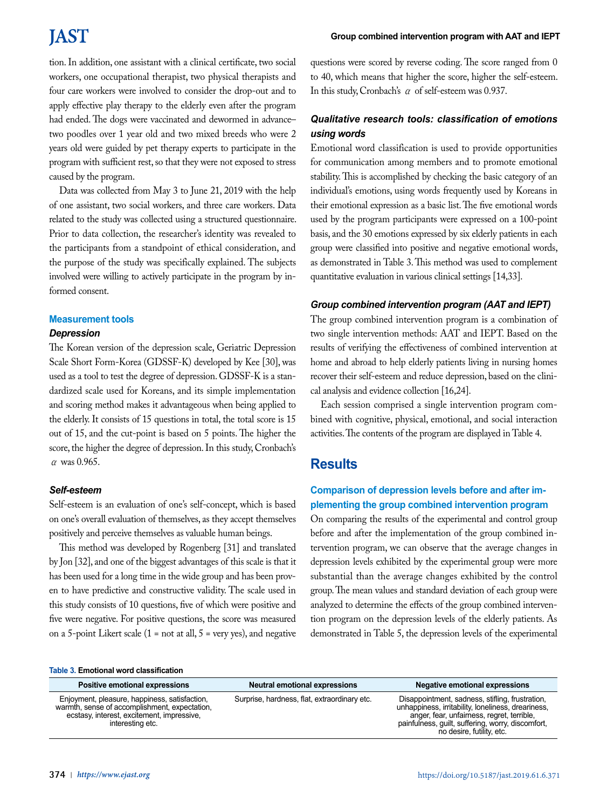# **JAST**

tion. In addition, one assistant with a clinical certificate, two social workers, one occupational therapist, two physical therapists and four care workers were involved to consider the drop-out and to apply effective play therapy to the elderly even after the program had ended. The dogs were vaccinated and dewormed in advance– two poodles over 1 year old and two mixed breeds who were 2 years old were guided by pet therapy experts to participate in the program with sufficient rest, so that they were not exposed to stress caused by the program.

Data was collected from May 3 to June 21, 2019 with the help of one assistant, two social workers, and three care workers. Data related to the study was collected using a structured questionnaire. Prior to data collection, the researcher's identity was revealed to the participants from a standpoint of ethical consideration, and the purpose of the study was specifically explained. The subjects involved were willing to actively participate in the program by informed consent.

#### **Measurement tools**

#### *Depression*

The Korean version of the depression scale, Geriatric Depression Scale Short Form-Korea (GDSSF-K) developed by Kee [30], was used as a tool to test the degree of depression. GDSSF-K is a standardized scale used for Koreans, and its simple implementation and scoring method makes it advantageous when being applied to the elderly. It consists of 15 questions in total, the total score is 15 out of 15, and the cut-point is based on 5 points. The higher the score, the higher the degree of depression. In this study, Cronbach's  $\alpha$  was 0.965.

#### *Self-esteem*

Self-esteem is an evaluation of one's self-concept, which is based on one's overall evaluation of themselves, as they accept themselves positively and perceive themselves as valuable human beings.

This method was developed by Rogenberg [31] and translated by Jon [32], and one of the biggest advantages of this scale is that it has been used for a long time in the wide group and has been proven to have predictive and constructive validity. The scale used in this study consists of 10 questions, five of which were positive and five were negative. For positive questions, the score was measured on a 5-point Likert scale  $(1 = not at all, 5 = very yes)$ , and negative questions were scored by reverse coding. The score ranged from 0 to 40, which means that higher the score, higher the self-esteem. In this study, Cronbach's α of self-esteem was 0.937.

### *Qualitative research tools: classification of emotions using words*

Emotional word classification is used to provide opportunities for communication among members and to promote emotional stability. This is accomplished by checking the basic category of an individual's emotions, using words frequently used by Koreans in their emotional expression as a basic list. The five emotional words used by the program participants were expressed on a 100-point basis, and the 30 emotions expressed by six elderly patients in each group were classified into positive and negative emotional words, as demonstrated in Table 3. This method was used to complement quantitative evaluation in various clinical settings [14,33].

### *Group combined intervention program (AAT and IEPT)*

The group combined intervention program is a combination of two single intervention methods: AAT and IEPT. Based on the results of verifying the effectiveness of combined intervention at home and abroad to help elderly patients living in nursing homes recover their self-esteem and reduce depression, based on the clinical analysis and evidence collection [16,24].

Each session comprised a single intervention program combined with cognitive, physical, emotional, and social interaction activities. The contents of the program are displayed in Table 4.

## **Results**

## **Comparison of depression levels before and after implementing the group combined intervention program**

On comparing the results of the experimental and control group before and after the implementation of the group combined intervention program, we can observe that the average changes in depression levels exhibited by the experimental group were more substantial than the average changes exhibited by the control group. The mean values and standard deviation of each group were analyzed to determine the effects of the group combined intervention program on the depression levels of the elderly patients. As demonstrated in Table 5, the depression levels of the experimental

#### **Table 3. Emotional word classification**

| Positive emotional expressions                                                                                                                                   | Neutral emotional expressions                | Negative emotional expressions                                                                                                                                                                                                        |
|------------------------------------------------------------------------------------------------------------------------------------------------------------------|----------------------------------------------|---------------------------------------------------------------------------------------------------------------------------------------------------------------------------------------------------------------------------------------|
| Enjoyment, pleasure, happiness, satisfaction,<br>warmth, sense of accomplishment, expectation,<br>ecstasy, interest, excitement, impressive,<br>interesting etc. | Surprise, hardness, flat, extraordinary etc. | Disappointment, sadness, stifling, frustration,<br>unhappiness, irritability, loneliness, dreariness,<br>anger, fear, unfairness, regret, terrible,<br>painfulness, guilt, suffering, worry, discomfort,<br>no desire, futility, etc. |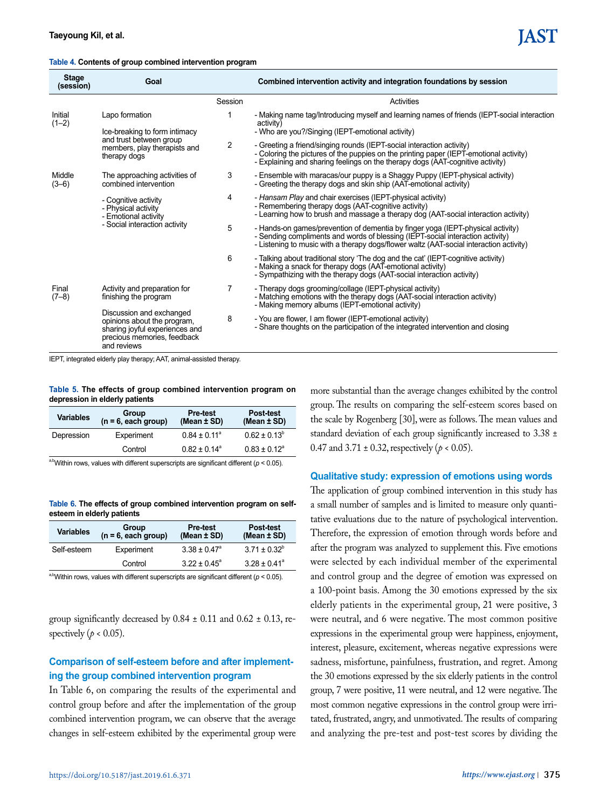| Table 4. Contents of group combined intervention program |  |  |
|----------------------------------------------------------|--|--|
|----------------------------------------------------------|--|--|

| <b>Stage</b><br>(session) | Goal                                                                                                                                    |                | Combined intervention activity and integration foundations by session                                                                                                                                                                                        |  |  |
|---------------------------|-----------------------------------------------------------------------------------------------------------------------------------------|----------------|--------------------------------------------------------------------------------------------------------------------------------------------------------------------------------------------------------------------------------------------------------------|--|--|
|                           |                                                                                                                                         | Session        | Activities                                                                                                                                                                                                                                                   |  |  |
| Initial<br>$(1-2)$        | Lapo formation<br>Ice-breaking to form intimacy                                                                                         |                | - Making name tag/Introducing myself and learning names of friends (IEPT-social interaction<br>activity)<br>- Who are you?/Singing (IEPT-emotional activity)                                                                                                 |  |  |
|                           | and trust between group<br>members, play therapists and<br>therapy dogs                                                                 | $\overline{2}$ | - Greeting a friend/singing rounds (IEPT-social interaction activity)<br>- Coloring the pictures of the puppies on the printing paper (IEPT-emotional activity)<br>- Explaining and sharing feelings on the therapy dogs (AAT-cognitive activity)            |  |  |
| Middle<br>$(3-6)$         | The approaching activities of<br>combined intervention                                                                                  | 3              | - Ensemble with maracas/our puppy is a Shaggy Puppy (IEPT-physical activity)<br>- Greeting the therapy dogs and skin ship (AAT-emotional activity)                                                                                                           |  |  |
|                           | - Cognitive activity<br>- Physical activity<br>- Emotional activity<br>- Social interaction activity                                    | 4              | - Hansam Play and chair exercises (IEPT-physical activity)<br>- Remembering therapy dogs (AAT-cognitive activity)<br>- Learning how to brush and massage a therapy dog (AAT-social interaction activity)                                                     |  |  |
|                           |                                                                                                                                         | 5              | - Hands-on games/prevention of dementia by finger yoga (IEPT-physical activity)<br>- Sending compliments and words of blessing (IEPT-social interaction activity)<br>- Listening to music with a therapy dogs/flower waltz (AAT-social interaction activity) |  |  |
|                           |                                                                                                                                         | 6              | - Talking about traditional story 'The dog and the cat' (IEPT-cognitive activity)<br>- Making a snack for therapy dogs (AAT-emotional activity)<br>- Sympathizing with the therapy dogs (AAT-social interaction activity)                                    |  |  |
| Final<br>$(7-8)$          | Activity and preparation for<br>finishing the program                                                                                   | 7              | - Therapy dogs grooming/collage (IEPT-physical activity)<br>- Matching emotions with the therapy dogs (AAT-social interaction activity)<br>- Making memory albums (IEPT-emotional activity)                                                                  |  |  |
|                           | Discussion and exchanged<br>opinions about the program,<br>sharing joyful experiences and<br>precious memories, feedback<br>and reviews | 8              | - You are flower, I am flower (IEPT-emotional activity)<br>- Share thoughts on the participation of the integrated intervention and closing                                                                                                                  |  |  |

IEPT, integrated elderly play therapy; AAT, animal-assisted therapy.

**Table 5. The effects of group combined intervention program on depression in elderly patients**

| <b>Variables</b> | Group<br>$(n = 6$ , each group) | <b>Pre-test</b><br>(Mean $\pm$ SD) | Post-test<br>(Mean $±$ SD) |
|------------------|---------------------------------|------------------------------------|----------------------------|
| Depression       | Experiment                      | $0.84 \pm 0.11^{\circ}$            | $0.62 \pm 0.13^b$          |
|                  | Control                         | $0.82 \pm 0.14^{\circ}$            | $0.83 \pm 0.12^{\circ}$    |

<sup>a,b</sup>Within rows, values with different superscripts are significant different ( $p < 0.05$ ).

**Table 6. The effects of group combined intervention program on selfesteem in elderly patients**

| <b>Variables</b> | Group<br>$(n = 6, each group)$ | <b>Pre-test</b><br>(Mean $\pm$ SD) | Post-test<br>(Mean $\pm$ SD) |
|------------------|--------------------------------|------------------------------------|------------------------------|
| Self-esteem      | Experiment                     | $3.38 \pm 0.47^{\circ}$            | $3.71 \pm 0.32^b$            |
|                  | Control                        | $3.22 \pm 0.45^{\circ}$            | $3.28 \pm 0.41^{\circ}$      |

 $a,b$ Within rows, values with different superscripts are significant different ( $p < 0.05$ ).

group significantly decreased by  $0.84 \pm 0.11$  and  $0.62 \pm 0.13$ , respectively ( $p < 0.05$ ).

### **Comparison of self-esteem before and after implementing the group combined intervention program**

In Table 6, on comparing the results of the experimental and control group before and after the implementation of the group combined intervention program, we can observe that the average changes in self-esteem exhibited by the experimental group were

more substantial than the average changes exhibited by the control group. The results on comparing the self-esteem scores based on the scale by Rogenberg [30], were as follows. The mean values and standard deviation of each group significantly increased to 3.38 ± 0.47 and  $3.71 \pm 0.32$ , respectively ( $\rho < 0.05$ ).

#### **Qualitative study: expression of emotions using words**

The application of group combined intervention in this study has a small number of samples and is limited to measure only quantitative evaluations due to the nature of psychological intervention. Therefore, the expression of emotion through words before and after the program was analyzed to supplement this. Five emotions were selected by each individual member of the experimental and control group and the degree of emotion was expressed on a 100-point basis. Among the 30 emotions expressed by the six elderly patients in the experimental group, 21 were positive, 3 were neutral, and 6 were negative. The most common positive expressions in the experimental group were happiness, enjoyment, interest, pleasure, excitement, whereas negative expressions were sadness, misfortune, painfulness, frustration, and regret. Among the 30 emotions expressed by the six elderly patients in the control group, 7 were positive, 11 were neutral, and 12 were negative. The most common negative expressions in the control group were irritated, frustrated, angry, and unmotivated. The results of comparing and analyzing the pre-test and post-test scores by dividing the

IAST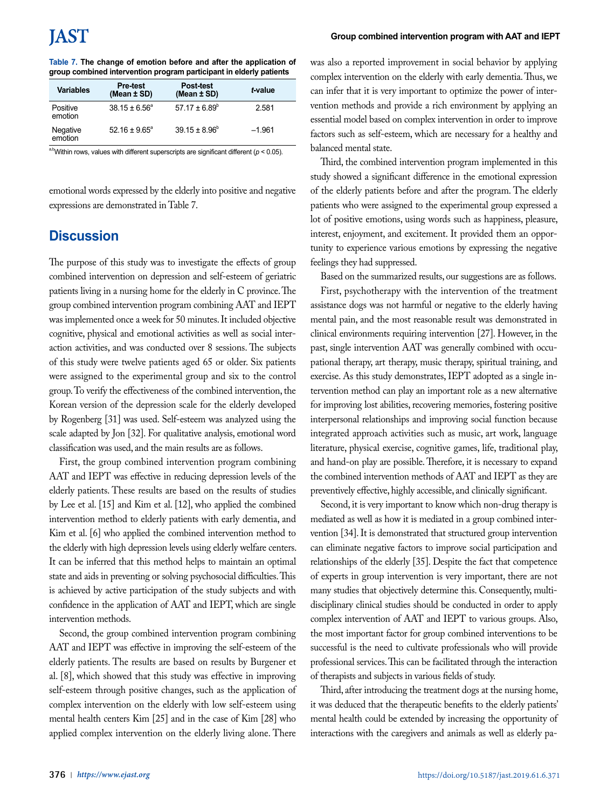| <b>Variables</b>    | <b>Pre-test</b><br>(Mean $±$ SD) | Post-test<br>(Mean ± SD) | t-value  |
|---------------------|----------------------------------|--------------------------|----------|
| Positive<br>emotion | $38.15 \pm 6.56^{\circ}$         | $57.17 \pm 6.89^{\circ}$ | 2.581    |
| Negative<br>emotion | $52.16 \pm 9.65^{\circ}$         | $39.15 \pm 8.96^{\circ}$ | $-1.961$ |

<sup>a,b</sup>Within rows, values with different superscripts are significant different ( $p < 0.05$ ).

emotional words expressed by the elderly into positive and negative expressions are demonstrated in Table 7.

# **Discussion**

The purpose of this study was to investigate the effects of group combined intervention on depression and self-esteem of geriatric patients living in a nursing home for the elderly in C province. The group combined intervention program combining AAT and IEPT was implemented once a week for 50 minutes. It included objective cognitive, physical and emotional activities as well as social interaction activities, and was conducted over 8 sessions. The subjects of this study were twelve patients aged 65 or older. Six patients were assigned to the experimental group and six to the control group. To verify the effectiveness of the combined intervention, the Korean version of the depression scale for the elderly developed by Rogenberg [31] was used. Self-esteem was analyzed using the scale adapted by Jon [32]. For qualitative analysis, emotional word classification was used, and the main results are as follows.

First, the group combined intervention program combining AAT and IEPT was effective in reducing depression levels of the elderly patients. These results are based on the results of studies by Lee et al. [15] and Kim et al. [12], who applied the combined intervention method to elderly patients with early dementia, and Kim et al. [6] who applied the combined intervention method to the elderly with high depression levels using elderly welfare centers. It can be inferred that this method helps to maintain an optimal state and aids in preventing or solving psychosocial difficulties. This is achieved by active participation of the study subjects and with confidence in the application of AAT and IEPT, which are single intervention methods.

Second, the group combined intervention program combining AAT and IEPT was effective in improving the self-esteem of the elderly patients. The results are based on results by Burgener et al. [8], which showed that this study was effective in improving self-esteem through positive changes, such as the application of complex intervention on the elderly with low self-esteem using mental health centers Kim [25] and in the case of Kim [28] who applied complex intervention on the elderly living alone. There

#### **Group combined intervention program with AAT and IEPT**

was also a reported improvement in social behavior by applying complex intervention on the elderly with early dementia. Thus, we can infer that it is very important to optimize the power of intervention methods and provide a rich environment by applying an essential model based on complex intervention in order to improve factors such as self-esteem, which are necessary for a healthy and balanced mental state.

Third, the combined intervention program implemented in this study showed a significant difference in the emotional expression of the elderly patients before and after the program. The elderly patients who were assigned to the experimental group expressed a lot of positive emotions, using words such as happiness, pleasure, interest, enjoyment, and excitement. It provided them an opportunity to experience various emotions by expressing the negative feelings they had suppressed.

Based on the summarized results, our suggestions are as follows.

First, psychotherapy with the intervention of the treatment assistance dogs was not harmful or negative to the elderly having mental pain, and the most reasonable result was demonstrated in clinical environments requiring intervention [27]. However, in the past, single intervention AAT was generally combined with occupational therapy, art therapy, music therapy, spiritual training, and exercise. As this study demonstrates, IEPT adopted as a single intervention method can play an important role as a new alternative for improving lost abilities, recovering memories, fostering positive interpersonal relationships and improving social function because integrated approach activities such as music, art work, language literature, physical exercise, cognitive games, life, traditional play, and hand-on play are possible. Therefore, it is necessary to expand the combined intervention methods of AAT and IEPT as they are preventively effective, highly accessible, and clinically significant.

Second, it is very important to know which non-drug therapy is mediated as well as how it is mediated in a group combined intervention [34]. It is demonstrated that structured group intervention can eliminate negative factors to improve social participation and relationships of the elderly [35]. Despite the fact that competence of experts in group intervention is very important, there are not many studies that objectively determine this. Consequently, multidisciplinary clinical studies should be conducted in order to apply complex intervention of AAT and IEPT to various groups. Also, the most important factor for group combined interventions to be successful is the need to cultivate professionals who will provide professional services. This can be facilitated through the interaction of therapists and subjects in various fields of study.

Third, after introducing the treatment dogs at the nursing home, it was deduced that the therapeutic benefits to the elderly patients' mental health could be extended by increasing the opportunity of interactions with the caregivers and animals as well as elderly pa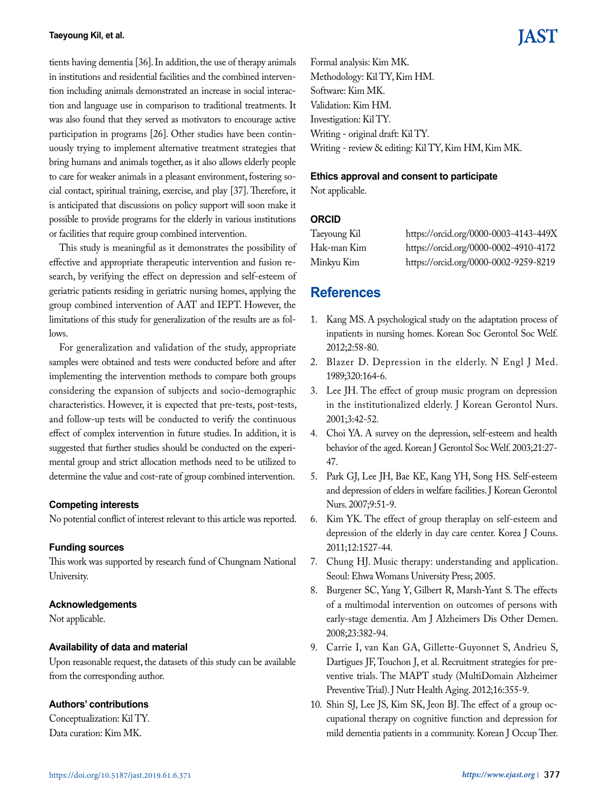tients having dementia [36]. In addition, the use of therapy animals in institutions and residential facilities and the combined intervention including animals demonstrated an increase in social interaction and language use in comparison to traditional treatments. It was also found that they served as motivators to encourage active participation in programs [26]. Other studies have been continuously trying to implement alternative treatment strategies that bring humans and animals together, as it also allows elderly people to care for weaker animals in a pleasant environment, fostering social contact, spiritual training, exercise, and play [37]. Therefore, it is anticipated that discussions on policy support will soon make it possible to provide programs for the elderly in various institutions or facilities that require group combined intervention.

This study is meaningful as it demonstrates the possibility of effective and appropriate therapeutic intervention and fusion research, by verifying the effect on depression and self-esteem of geriatric patients residing in geriatric nursing homes, applying the group combined intervention of AAT and IEPT. However, the limitations of this study for generalization of the results are as follows.

For generalization and validation of the study, appropriate samples were obtained and tests were conducted before and after implementing the intervention methods to compare both groups considering the expansion of subjects and socio-demographic characteristics. However, it is expected that pre-tests, post-tests, and follow-up tests will be conducted to verify the continuous effect of complex intervention in future studies. In addition, it is suggested that further studies should be conducted on the experimental group and strict allocation methods need to be utilized to determine the value and cost-rate of group combined intervention.

#### **Competing interests**

No potential conflict of interest relevant to this article was reported.

#### **Funding sources**

This work was supported by research fund of Chungnam National University.

#### **Acknowledgements**

Not applicable.

#### **Availability of data and material**

Upon reasonable request, the datasets of this study can be available from the corresponding author.

#### **Authors' contributions**

Conceptualization: Kil TY. Data curation: Kim MK.

Formal analysis: Kim MK. Methodology: Kil TY, Kim HM. Software: Kim MK. Validation: Kim HM. Investigation: Kil TY. Writing - original draft: Kil TY. Writing - review & editing: Kil TY, Kim HM, Kim MK.

#### **Ethics approval and consent to participate**

Not applicable.

### **ORCID**

| Taeyoung Kil | https://orcid.org/0000-0003-4143-449X |
|--------------|---------------------------------------|
| Hak-man Kim  | https://orcid.org/0000-0002-4910-4172 |
| Minkyu Kim   | https://orcid.org/0000-0002-9259-8219 |

## **References**

- 1. Kang MS. A psychological study on the adaptation process of inpatients in nursing homes. Korean Soc Gerontol Soc Welf. 2012;2:58-80.
- 2. Blazer D. Depression in the elderly. N Engl J Med. 1989;320:164-6.
- 3. Lee JH. The effect of group music program on depression in the institutionalized elderly. J Korean Gerontol Nurs. 2001;3:42-52.
- 4. Choi YA. A survey on the depression, self-esteem and health behavior of the aged. Korean J Gerontol Soc Welf. 2003;21:27- 47.
- 5. Park GJ, Lee JH, Bae KE, Kang YH, Song HS. Self-esteem and depression of elders in welfare facilities. J Korean Gerontol Nurs. 2007;9:51-9.
- 6. Kim YK. The effect of group theraplay on self-esteem and depression of the elderly in day care center. Korea J Couns. 2011;12:1527-44.
- 7. Chung HJ. Music therapy: understanding and application. Seoul: Ehwa Womans University Press; 2005.
- 8. Burgener SC, Yang Y, Gilbert R, Marsh-Yant S. The effects of a multimodal intervention on outcomes of persons with early-stage dementia. Am J Alzheimers Dis Other Demen. 2008;23:382-94.
- 9. Carrie I, van Kan GA, Gillette-Guyonnet S, Andrieu S, Dartigues JF, Touchon J, et al. Recruitment strategies for preventive trials. The MAPT study (MultiDomain Alzheimer Preventive Trial). J Nutr Health Aging. 2012;16:355-9.
- 10. Shin SJ, Lee JS, Kim SK, Jeon BJ. The effect of a group occupational therapy on cognitive function and depression for mild dementia patients in a community. Korean J Occup Ther.